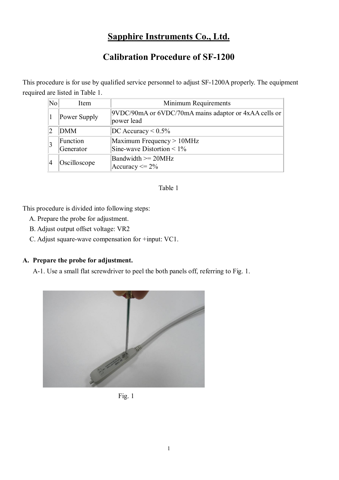# **Sapphire Instruments Co., Ltd.**

# **Calibration Procedure of SF-1200**

This procedure is for use by qualified service personnel to adjust SF-1200A properly. The equipment required are listed in Table 1.

| $\overline{\text{No}}$ | Item                  | Minimum Requirements                                                |
|------------------------|-----------------------|---------------------------------------------------------------------|
|                        | Power Supply          | 9VDC/90mA or 6VDC/70mA mains adaptor or 4xAA cells or<br>power lead |
|                        | <b>DMM</b>            | $DC$ Accuracy < $0.5\%$                                             |
|                        | Function<br>Generator | Maximum Frequency > 10MHz<br>Sine-wave Distortion < $1\%$           |
|                        | Oscilloscope          | Bandwidth $>= 20MHz$<br>Accuracy $\leq$ 2%                          |

### Table 1

This procedure is divided into following steps:

- A. Prepare the probe for adjustment.
- B. Adjust output offset voltage: VR2
- C. Adjust square-wave compensation for +input: VC1.

## **A. Prepare the probe for adjustment.**

A-1. Use a small flat screwdriver to peel the both panels off, referring to Fig. 1.



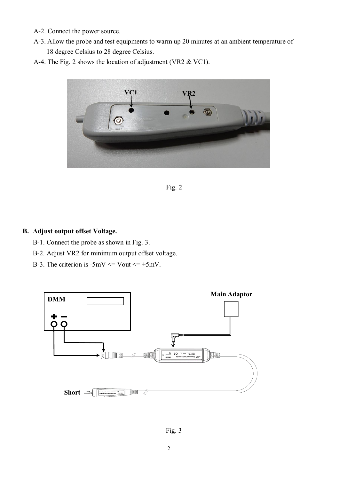- A-2. Connect the power source.
- A-3. Allow the probe and test equipments to warm up 20 minutes at an ambient temperature of 18 degree Celsius to 28 degree Celsius.
- A-4. The Fig. 2 shows the location of adjustment (VR2 & VC1).





#### **B. Adjust output offset Voltage.**

- B-1. Connect the probe as shown in Fig. 3.
- B-2. Adjust VR2 for minimum output offset voltage.
- B-3. The criterion is  $-5mV \leq Vout \leq +5mV$ .